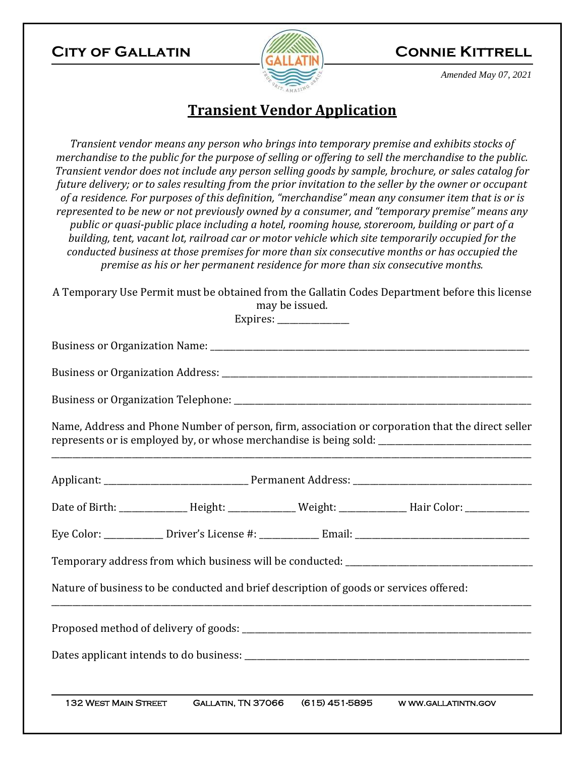## **City of Gallatin Connie Kittrell**



*Amended May 07, 2021* 

# **Transient Vendor Application**

*Transient vendor means any person who brings into temporary premise and exhibits stocks of merchandise to the public for the purpose of selling or offering to sell the merchandise to the public. Transient vendor does not include any person selling goods by sample, brochure, or sales catalog for future delivery; or to sales resulting from the prior invitation to the seller by the owner or occupant of a residence. For purposes of this definition, "merchandise" mean any consumer item that is or is represented to be new or not previously owned by a consumer, and "temporary premise" means any public or quasi-public place including a hotel, rooming house, storeroom, building or part of a building, tent, vacant lot, railroad car or motor vehicle which site temporarily occupied for the conducted business at those premises for more than six consecutive months or has occupied the premise as his or her permanent residence for more than six consecutive months.*

A Temporary Use Permit must be obtained from the Gallatin Codes Department before this license may be issued.

Expires: \_\_\_\_\_\_\_\_\_\_\_\_\_\_\_\_\_

Business or Organization Name: \_\_\_\_\_\_\_\_\_\_\_\_\_\_\_\_\_\_\_\_\_\_\_\_\_\_\_\_\_\_\_\_\_\_\_\_\_\_\_\_\_\_\_\_\_\_\_\_\_\_\_\_\_\_\_\_\_\_\_\_\_\_\_\_\_\_\_\_\_\_\_\_\_\_\_ Business or Organization Address: \_\_\_\_\_\_\_\_\_\_\_\_\_\_\_\_\_\_\_\_\_\_\_\_\_\_\_\_\_\_\_\_\_\_\_\_\_\_\_\_\_\_\_\_\_\_\_\_\_\_\_\_\_\_\_\_\_\_\_\_\_\_\_\_\_\_\_\_\_\_\_\_\_ Business or Organization Telephone: \_\_\_\_\_\_\_\_\_\_\_\_\_\_\_\_\_\_\_\_\_\_\_\_\_\_\_\_\_\_\_\_\_\_\_\_\_\_\_\_\_\_\_\_\_\_\_\_\_\_\_\_\_\_\_\_\_\_\_\_\_\_\_\_\_\_\_\_\_\_

Name, Address and Phone Number of person, firm, association or corporation that the direct seller represents or is employed by, or whose merchandise is being sold:

\_\_\_\_\_\_\_\_\_\_\_\_\_\_\_\_\_\_\_\_\_\_\_\_\_\_\_\_\_\_\_\_\_\_\_\_\_\_\_\_\_\_\_\_\_\_\_\_\_\_\_\_\_\_\_\_\_\_\_\_\_\_\_\_\_\_\_\_\_\_\_\_\_\_\_\_\_\_\_\_\_\_\_\_\_\_\_\_\_\_\_\_\_\_\_\_\_\_\_\_\_\_\_\_\_\_\_\_\_\_\_\_\_

 132 West Main Street Gallatin, TN 37066 (615) 451-5895 w ww.gallatintn.gov Applicant: The contract Address:  $\blacksquare$ Date of Birth: \_\_\_\_\_\_\_\_\_\_\_\_\_\_\_\_ Height: \_\_\_\_\_\_\_\_\_\_\_\_\_\_\_ Weight: \_\_\_\_\_\_\_\_\_\_\_\_\_\_\_\_\_\_\_\_\_\_ Hair Color: \_\_\_\_\_\_\_\_\_\_\_ Eye Color: The Priver's License #: The Email:  $\Box$  Email:  $\Box$  Email:  $\Box$  Email:  $\Box$  Email:  $\Box$  Email:  $\Box$  Email:  $\Box$  Email:  $\Box$  Email:  $\Box$  Email:  $\Box$  Email:  $\Box$  Email:  $\Box$  Email:  $\Box$  Email:  $\Box$  Email:  $\Box$  Ema Temporary address from which business will be conducted: \_\_\_\_\_\_\_\_\_\_\_\_\_\_\_\_\_\_\_\_\_\_\_ Nature of business to be conducted and brief description of goods or services offered: \_\_\_\_\_\_\_\_\_\_\_\_\_\_\_\_\_\_\_\_\_\_\_\_\_\_\_\_\_\_\_\_\_\_\_\_\_\_\_\_\_\_\_\_\_\_\_\_\_\_\_\_\_\_\_\_\_\_\_\_\_\_\_\_\_\_\_\_\_\_\_\_\_\_\_\_\_\_\_\_\_\_\_\_\_\_\_\_\_\_\_\_\_\_\_\_\_\_\_\_\_\_\_\_\_\_\_\_\_\_\_\_\_ Proposed method of delivery of goods: \_\_\_\_\_\_\_\_\_\_\_\_\_\_\_\_\_\_\_\_\_\_\_\_\_\_\_\_\_\_\_\_\_\_\_\_\_\_\_\_\_\_\_\_\_\_\_\_\_\_\_\_\_\_\_\_\_\_\_\_\_\_\_\_\_\_\_\_ Dates applicant intends to do business: \_\_\_\_\_\_\_\_\_\_\_\_\_\_\_\_\_\_\_\_\_\_\_\_\_\_\_\_\_\_\_\_\_\_\_\_\_\_\_\_\_\_\_\_\_\_\_\_\_\_\_\_\_\_\_\_\_\_\_\_\_\_\_\_\_\_\_